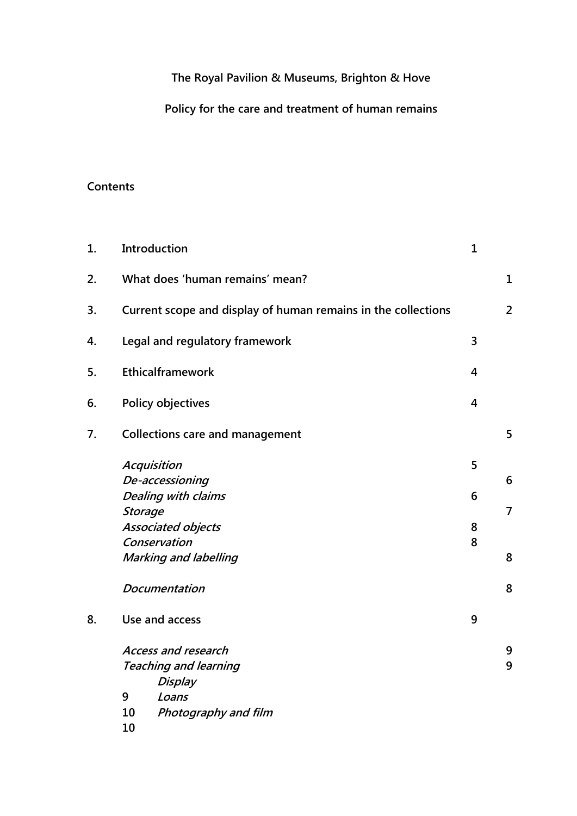**The Royal Pavilion & Museums, Brighton & Hove**

**Policy for the care and treatment of human remains**

# **Contents**

| 1. |                              | Introduction                                                  | $\mathbf{1}$   |                |
|----|------------------------------|---------------------------------------------------------------|----------------|----------------|
| 2. |                              | What does 'human remains' mean?                               |                | $\mathbf{1}$   |
| 3. |                              | Current scope and display of human remains in the collections |                | $\overline{2}$ |
| 4. |                              | Legal and regulatory framework                                | 3              |                |
| 5. |                              | Ethicalframework                                              | $\overline{4}$ |                |
| 6. |                              | <b>Policy objectives</b>                                      | $\overline{4}$ |                |
| 7. |                              | <b>Collections care and management</b>                        |                | 5              |
|    |                              | Acquisition                                                   | 5              |                |
|    | De-accessioning              |                                                               |                | 6              |
|    | Dealing with claims          |                                                               |                |                |
|    | <b>Storage</b>               |                                                               |                | 7              |
|    | <b>Associated objects</b>    |                                                               | 8              |                |
|    | Conservation                 |                                                               |                |                |
|    | <b>Marking and labelling</b> |                                                               |                | 8              |
|    | <b>Documentation</b>         |                                                               |                | 8              |
| 8. | Use and access               |                                                               |                |                |
|    | <b>Access and research</b>   |                                                               |                | 9              |
|    | <b>Teaching and learning</b> |                                                               |                | 9              |
|    |                              | Display                                                       |                |                |
|    | 9                            | Loans                                                         |                |                |
|    | 10                           | Photography and film                                          |                |                |
|    | 10                           |                                                               |                |                |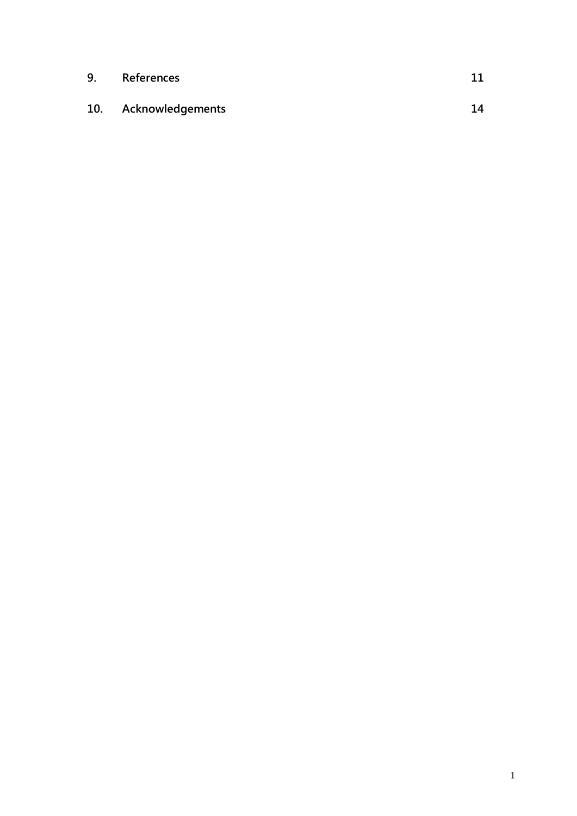| 9. | References           |    |
|----|----------------------|----|
|    | 10. Acknowledgements | 14 |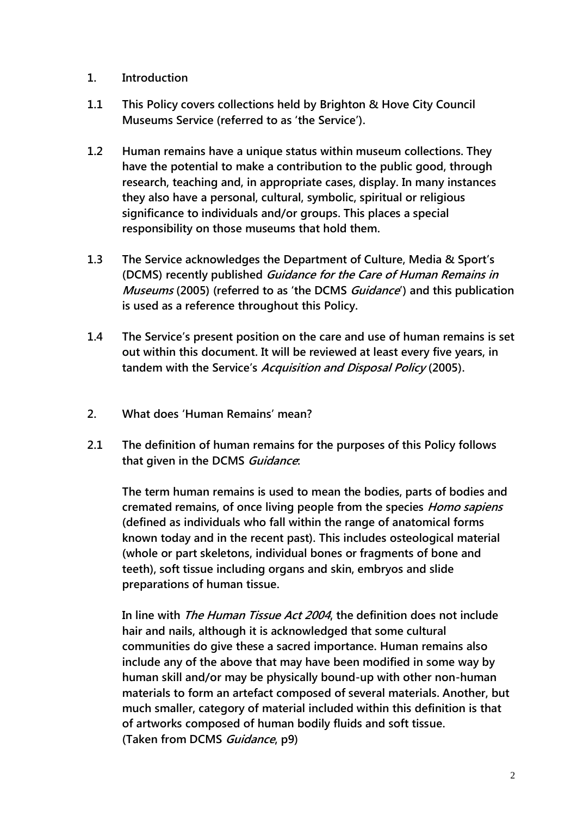- **1. Introduction**
- **1.1 This Policy covers collections held by Brighton & Hove City Council Museums Service (referred to as "the Service").**
- **1.2 Human remains have a unique status within museum collections. They have the potential to make a contribution to the public good, through research, teaching and, in appropriate cases, display. In many instances they also have a personal, cultural, symbolic, spiritual or religious significance to individuals and/or groups. This places a special responsibility on those museums that hold them.**
- **1.3 The Service acknowledges the Department of Culture, Media & Sport"s (DCMS) recently published Guidance for the Care of Human Remains in Museums (2005) (referred to as "the DCMS Guidance") and this publication is used as a reference throughout this Policy.**
- **1.4 The Service"s present position on the care and use of human remains is set out within this document. It will be reviewed at least every five years, in tandem with the Service"s Acquisition and Disposal Policy (2005).**
- **2. What does "Human Remains" mean?**
- **2.1 The definition of human remains for the purposes of this Policy follows that given in the DCMS Guidance:**

**The term human remains is used to mean the bodies, parts of bodies and cremated remains, of once living people from the species Homo sapiens (defined as individuals who fall within the range of anatomical forms known today and in the recent past). This includes osteological material (whole or part skeletons, individual bones or fragments of bone and teeth), soft tissue including organs and skin, embryos and slide preparations of human tissue.**

**In line with The Human Tissue Act 2004, the definition does not include hair and nails, although it is acknowledged that some cultural communities do give these a sacred importance. Human remains also include any of the above that may have been modified in some way by human skill and/or may be physically bound-up with other non-human materials to form an artefact composed of several materials. Another, but much smaller, category of material included within this definition is that of artworks composed of human bodily fluids and soft tissue. (Taken from DCMS Guidance, p9)**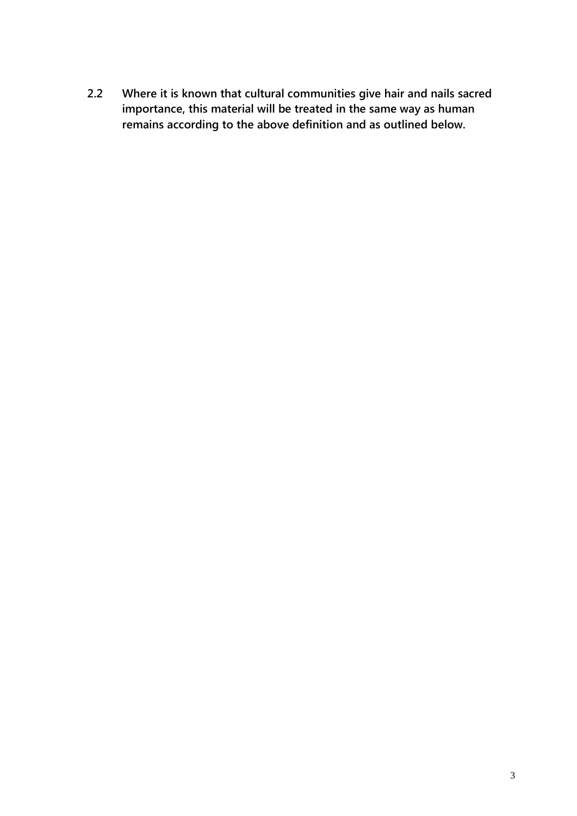**2.2 Where it is known that cultural communities give hair and nails sacred importance, this material will be treated in the same way as human remains according to the above definition and as outlined below.**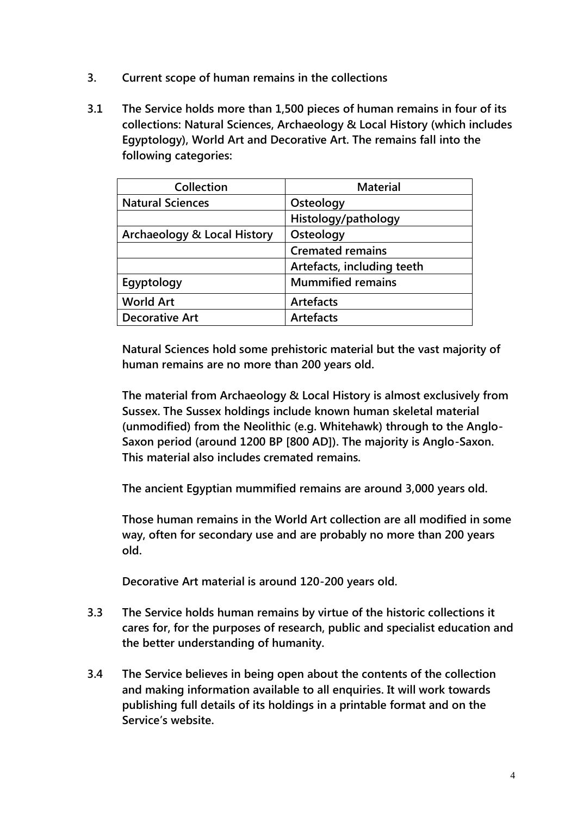- **3. Current scope of human remains in the collections**
- **3.1 The Service holds more than 1,500 pieces of human remains in four of its collections: Natural Sciences, Archaeology & Local History (which includes Egyptology), World Art and Decorative Art. The remains fall into the following categories:**

| Collection                  | <b>Material</b>            |
|-----------------------------|----------------------------|
| <b>Natural Sciences</b>     | Osteology                  |
|                             | Histology/pathology        |
| Archaeology & Local History | Osteology                  |
|                             | <b>Cremated remains</b>    |
|                             | Artefacts, including teeth |
| Egyptology                  | <b>Mummified remains</b>   |
| <b>World Art</b>            | <b>Artefacts</b>           |
| <b>Decorative Art</b>       | <b>Artefacts</b>           |
|                             |                            |

**Natural Sciences hold some prehistoric material but the vast majority of human remains are no more than 200 years old.** 

**The material from Archaeology & Local History is almost exclusively from Sussex. The Sussex holdings include known human skeletal material (unmodified) from the Neolithic (e.g. Whitehawk) through to the Anglo-Saxon period (around 1200 BP [800 AD]). The majority is Anglo-Saxon. This material also includes cremated remains.**

**The ancient Egyptian mummified remains are around 3,000 years old.** 

**Those human remains in the World Art collection are all modified in some way, often for secondary use and are probably no more than 200 years old.**

**Decorative Art material is around 120-200 years old.**

- **3.3 The Service holds human remains by virtue of the historic collections it cares for, for the purposes of research, public and specialist education and the better understanding of humanity.**
- **3.4 The Service believes in being open about the contents of the collection and making information available to all enquiries. It will work towards publishing full details of its holdings in a printable format and on the Service"s website.**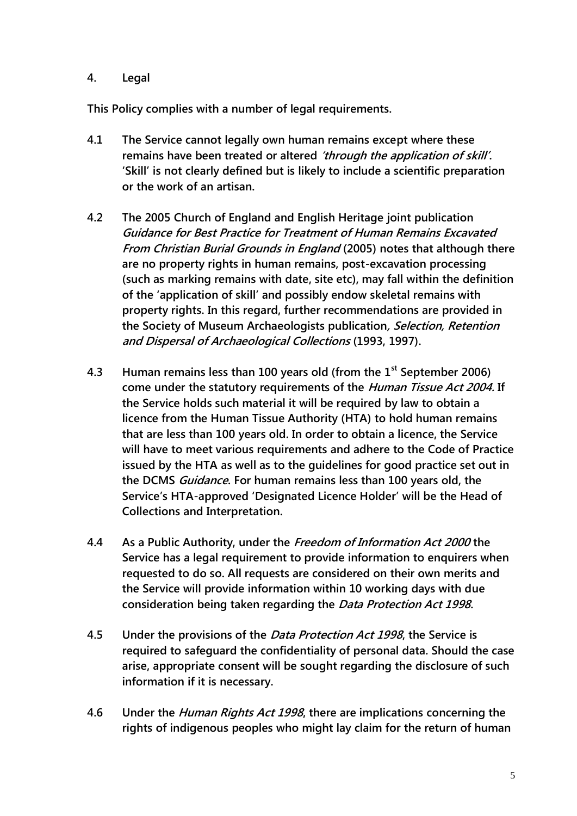## **4. Legal**

**This Policy complies with a number of legal requirements.**

- **4.1 The Service cannot legally own human remains except where these remains have been treated or altered "through the application of skill". "Skill" is not clearly defined but is likely to include a scientific preparation or the work of an artisan.**
- **4.2 The 2005 Church of England and English Heritage joint publication Guidance for Best Practice for Treatment of Human Remains Excavated From Christian Burial Grounds in England (2005) notes that although there are no property rights in human remains, post-excavation processing (such as marking remains with date, site etc), may fall within the definition of the "application of skill" and possibly endow skeletal remains with property rights. In this regard, further recommendations are provided in the Society of Museum Archaeologists publication, Selection, Retention and Dispersal of Archaeological Collections (1993, 1997).**
- **4.3 Human remains less than 100 years old (from the 1st September 2006) come under the statutory requirements of the Human Tissue Act 2004. If the Service holds such material it will be required by law to obtain a licence from the Human Tissue Authority (HTA) to hold human remains that are less than 100 years old. In order to obtain a licence, the Service will have to meet various requirements and adhere to the Code of Practice issued by the HTA as well as to the guidelines for good practice set out in the DCMS Guidance. For human remains less than 100 years old, the Service"s HTA-approved "Designated Licence Holder" will be the Head of Collections and Interpretation.**
- **4.4 As a Public Authority, under the Freedom of Information Act 2000 the Service has a legal requirement to provide information to enquirers when requested to do so. All requests are considered on their own merits and the Service will provide information within 10 working days with due consideration being taken regarding the Data Protection Act 1998.**
- **4.5 Under the provisions of the Data Protection Act 1998, the Service is required to safeguard the confidentiality of personal data. Should the case arise, appropriate consent will be sought regarding the disclosure of such information if it is necessary.**
- **4.6 Under the Human Rights Act 1998, there are implications concerning the rights of indigenous peoples who might lay claim for the return of human**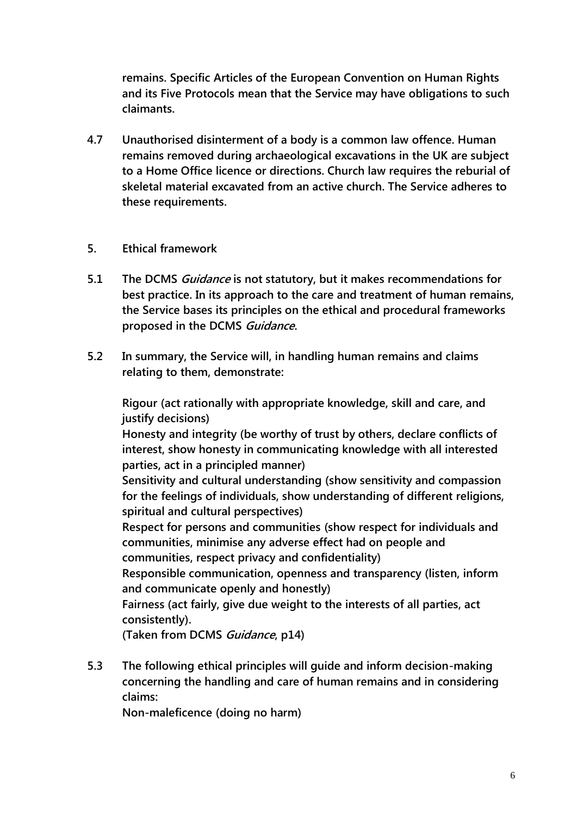**remains. Specific Articles of the European Convention on Human Rights and its Five Protocols mean that the Service may have obligations to such claimants.**

**4.7 Unauthorised disinterment of a body is a common law offence. Human remains removed during archaeological excavations in the UK are subject to a Home Office licence or directions. Church law requires the reburial of skeletal material excavated from an active church. The Service adheres to these requirements.**

## **5. Ethical framework**

- **5.1 The DCMS Guidance is not statutory, but it makes recommendations for best practice. In its approach to the care and treatment of human remains, the Service bases its principles on the ethical and procedural frameworks proposed in the DCMS Guidance.**
- **5.2 In summary, the Service will, in handling human remains and claims relating to them, demonstrate:**

**Rigour (act rationally with appropriate knowledge, skill and care, and justify decisions)**

**Honesty and integrity (be worthy of trust by others, declare conflicts of interest, show honesty in communicating knowledge with all interested parties, act in a principled manner)**

**Sensitivity and cultural understanding (show sensitivity and compassion for the feelings of individuals, show understanding of different religions, spiritual and cultural perspectives)**

**Respect for persons and communities (show respect for individuals and communities, minimise any adverse effect had on people and communities, respect privacy and confidentiality)**

**Responsible communication, openness and transparency (listen, inform and communicate openly and honestly)**

**Fairness (act fairly, give due weight to the interests of all parties, act consistently).**

**(Taken from DCMS Guidance, p14)** 

**5.3 The following ethical principles will guide and inform decision-making concerning the handling and care of human remains and in considering claims:**

**Non-maleficence (doing no harm)**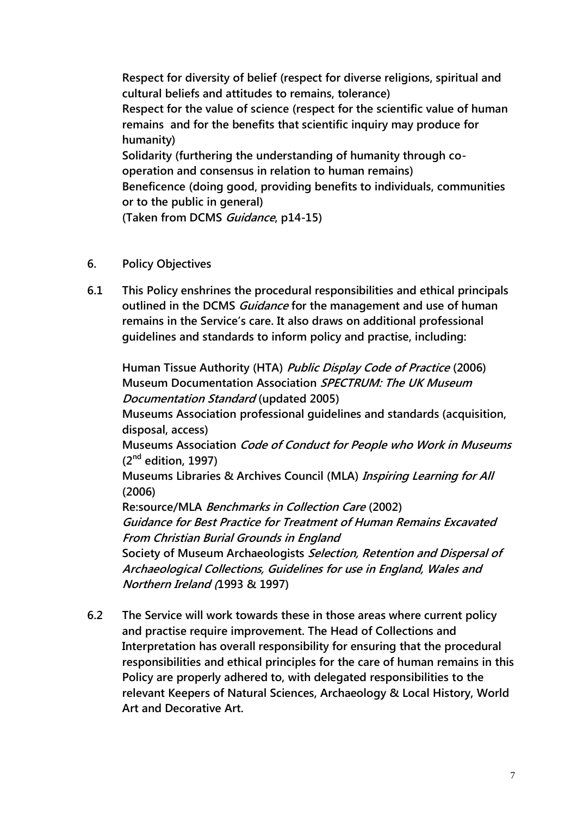**Respect for diversity of belief (respect for diverse religions, spiritual and cultural beliefs and attitudes to remains, tolerance) Respect for the value of science (respect for the scientific value of human remains and for the benefits that scientific inquiry may produce for humanity) Solidarity (furthering the understanding of humanity through cooperation and consensus in relation to human remains) Beneficence (doing good, providing benefits to individuals, communities or to the public in general) (Taken from DCMS Guidance, p14-15)**

- **6. Policy Objectives**
- **6.1 This Policy enshrines the procedural responsibilities and ethical principals outlined in the DCMS Guidance for the management and use of human remains in the Service"s care. It also draws on additional professional guidelines and standards to inform policy and practise, including:**

**Human Tissue Authority (HTA) Public Display Code of Practice (2006) Museum Documentation Association SPECTRUM: The UK Museum Documentation Standard (updated 2005) Museums Association professional guidelines and standards (acquisition, disposal, access) Museums Association Code of Conduct for People who Work in Museums (2nd edition, 1997) Museums Libraries & Archives Council (MLA) Inspiring Learning for All (2006) Re:source/MLA Benchmarks in Collection Care (2002) Guidance for Best Practice for Treatment of Human Remains Excavated From Christian Burial Grounds in England Society of Museum Archaeologists Selection, Retention and Dispersal of Archaeological Collections, Guidelines for use in England, Wales and Northern Ireland (1993 & 1997)**

**6.2 The Service will work towards these in those areas where current policy and practise require improvement. The Head of Collections and Interpretation has overall responsibility for ensuring that the procedural responsibilities and ethical principles for the care of human remains in this Policy are properly adhered to, with delegated responsibilities to the relevant Keepers of Natural Sciences, Archaeology & Local History, World Art and Decorative Art.**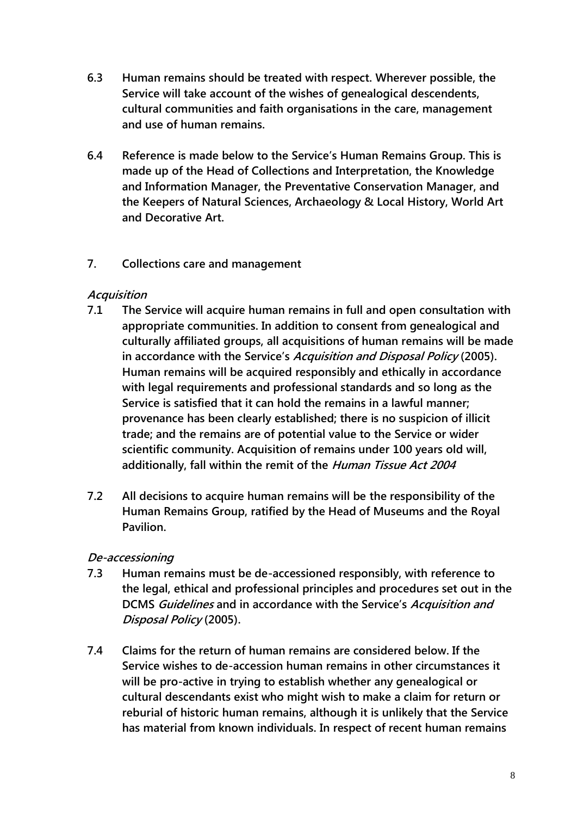- **6.3 Human remains should be treated with respect. Wherever possible, the Service will take account of the wishes of genealogical descendents, cultural communities and faith organisations in the care, management and use of human remains.**
- **6.4 Reference is made below to the Service"s Human Remains Group. This is made up of the Head of Collections and Interpretation, the Knowledge and Information Manager, the Preventative Conservation Manager, and the Keepers of Natural Sciences, Archaeology & Local History, World Art and Decorative Art.**

## **7. Collections care and management**

## **Acquisition**

- **7.1 The Service will acquire human remains in full and open consultation with appropriate communities. In addition to consent from genealogical and culturally affiliated groups, all acquisitions of human remains will be made in accordance with the Service"s Acquisition and Disposal Policy (2005). Human remains will be acquired responsibly and ethically in accordance with legal requirements and professional standards and so long as the Service is satisfied that it can hold the remains in a lawful manner; provenance has been clearly established; there is no suspicion of illicit trade; and the remains are of potential value to the Service or wider scientific community. Acquisition of remains under 100 years old will, additionally, fall within the remit of the Human Tissue Act 2004**
- **7.2 All decisions to acquire human remains will be the responsibility of the Human Remains Group, ratified by the Head of Museums and the Royal Pavilion.**

# **De-accessioning**

- **7.3 Human remains must be de-accessioned responsibly, with reference to the legal, ethical and professional principles and procedures set out in the DCMS Guidelines and in accordance with the Service"s Acquisition and Disposal Policy (2005).**
- **7.4 Claims for the return of human remains are considered below. If the Service wishes to de-accession human remains in other circumstances it will be pro-active in trying to establish whether any genealogical or cultural descendants exist who might wish to make a claim for return or reburial of historic human remains, although it is unlikely that the Service has material from known individuals. In respect of recent human remains**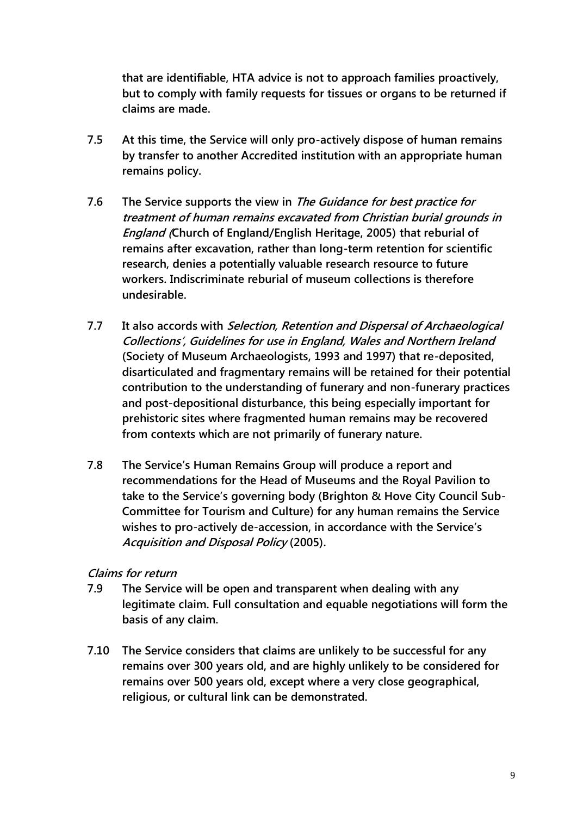**that are identifiable, HTA advice is not to approach families proactively, but to comply with family requests for tissues or organs to be returned if claims are made.**

- **7.5 At this time, the Service will only pro-actively dispose of human remains by transfer to another Accredited institution with an appropriate human remains policy.**
- **7.6 The Service supports the view in The Guidance for best practice for treatment of human remains excavated from Christian burial grounds in England (Church of England/English Heritage, 2005) that reburial of remains after excavation, rather than long-term retention for scientific research, denies a potentially valuable research resource to future workers. Indiscriminate reburial of museum collections is therefore undesirable.**
- **7.7 It also accords with Selection, Retention and Dispersal of Archaeological Collections", Guidelines for use in England, Wales and Northern Ireland (Society of Museum Archaeologists, 1993 and 1997) that re-deposited, disarticulated and fragmentary remains will be retained for their potential contribution to the understanding of funerary and non-funerary practices and post-depositional disturbance, this being especially important for prehistoric sites where fragmented human remains may be recovered from contexts which are not primarily of funerary nature.**
- **7.8 The Service"s Human Remains Group will produce a report and recommendations for the Head of Museums and the Royal Pavilion to take to the Service"s governing body (Brighton & Hove City Council Sub-Committee for Tourism and Culture) for any human remains the Service wishes to pro-actively de-accession, in accordance with the Service"s Acquisition and Disposal Policy (2005).**

#### **Claims for return**

- **7.9 The Service will be open and transparent when dealing with any legitimate claim. Full consultation and equable negotiations will form the basis of any claim.**
- **7.10 The Service considers that claims are unlikely to be successful for any remains over 300 years old, and are highly unlikely to be considered for remains over 500 years old, except where a very close geographical, religious, or cultural link can be demonstrated.**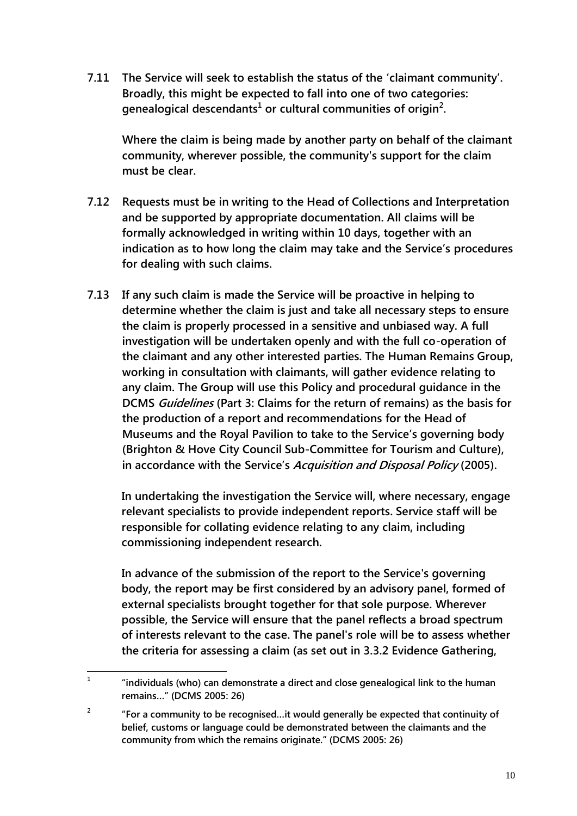**7.11 The Service will seek to establish the status of the "claimant community". Broadly, this might be expected to fall into one of two categories: genealogical descendants<sup>1</sup> or cultural communities of origin<sup>2</sup> .** 

**Where the claim is being made by another party on behalf of the claimant community, wherever possible, the community's support for the claim must be clear.**

- **7.12 Requests must be in writing to the Head of Collections and Interpretation and be supported by appropriate documentation. All claims will be formally acknowledged in writing within 10 days, together with an indication as to how long the claim may take and the Service"s procedures for dealing with such claims.**
- **7.13 If any such claim is made the Service will be proactive in helping to determine whether the claim is just and take all necessary steps to ensure the claim is properly processed in a sensitive and unbiased way. A full investigation will be undertaken openly and with the full co-operation of the claimant and any other interested parties. The Human Remains Group, working in consultation with claimants, will gather evidence relating to any claim. The Group will use this Policy and procedural guidance in the DCMS Guidelines (Part 3: Claims for the return of remains) as the basis for the production of a report and recommendations for the Head of Museums and the Royal Pavilion to take to the Service"s governing body (Brighton & Hove City Council Sub-Committee for Tourism and Culture), in accordance with the Service"s Acquisition and Disposal Policy (2005).**

**In undertaking the investigation the Service will, where necessary, engage relevant specialists to provide independent reports. Service staff will be responsible for collating evidence relating to any claim, including commissioning independent research.** 

**In advance of the submission of the report to the Service's governing body, the report may be first considered by an advisory panel, formed of external specialists brought together for that sole purpose. Wherever possible, the Service will ensure that the panel reflects a broad spectrum of interests relevant to the case. The panel's role will be to assess whether the criteria for assessing a claim (as set out in 3.3.2 Evidence Gathering,** 

 **1 "individuals (who) can demonstrate a direct and close genealogical link to the human remains…" (DCMS 2005: 26)**

**<sup>2</sup> "For a community to be recognised…it would generally be expected that continuity of belief, customs or language could be demonstrated between the claimants and the community from which the remains originate." (DCMS 2005: 26)**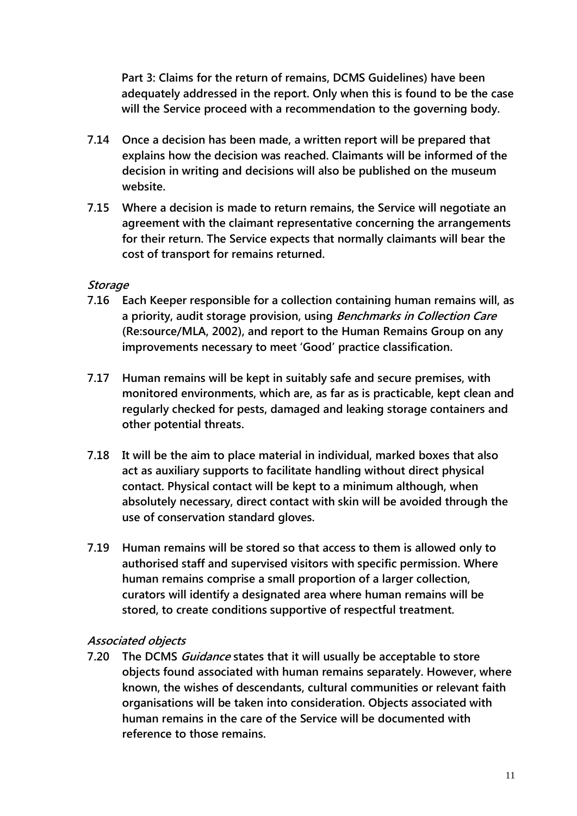**Part 3: Claims for the return of remains, DCMS Guidelines) have been adequately addressed in the report. Only when this is found to be the case will the Service proceed with a recommendation to the governing body.**

- **7.14 Once a decision has been made, a written report will be prepared that explains how the decision was reached. Claimants will be informed of the decision in writing and decisions will also be published on the museum website.**
- **7.15 Where a decision is made to return remains, the Service will negotiate an agreement with the claimant representative concerning the arrangements for their return. The Service expects that normally claimants will bear the cost of transport for remains returned.**

#### **Storage**

- **7.16 Each Keeper responsible for a collection containing human remains will, as a priority, audit storage provision, using Benchmarks in Collection Care (Re:source/MLA, 2002), and report to the Human Remains Group on any improvements necessary to meet "Good" practice classification.**
- **7.17 Human remains will be kept in suitably safe and secure premises, with monitored environments, which are, as far as is practicable, kept clean and regularly checked for pests, damaged and leaking storage containers and other potential threats.**
- **7.18 It will be the aim to place material in individual, marked boxes that also act as auxiliary supports to facilitate handling without direct physical contact. Physical contact will be kept to a minimum although, when absolutely necessary, direct contact with skin will be avoided through the use of conservation standard gloves.**
- **7.19 Human remains will be stored so that access to them is allowed only to authorised staff and supervised visitors with specific permission. Where human remains comprise a small proportion of a larger collection, curators will identify a designated area where human remains will be stored, to create conditions supportive of respectful treatment.**

#### **Associated objects**

**7.20 The DCMS Guidance states that it will usually be acceptable to store objects found associated with human remains separately. However, where known, the wishes of descendants, cultural communities or relevant faith organisations will be taken into consideration. Objects associated with human remains in the care of the Service will be documented with reference to those remains.**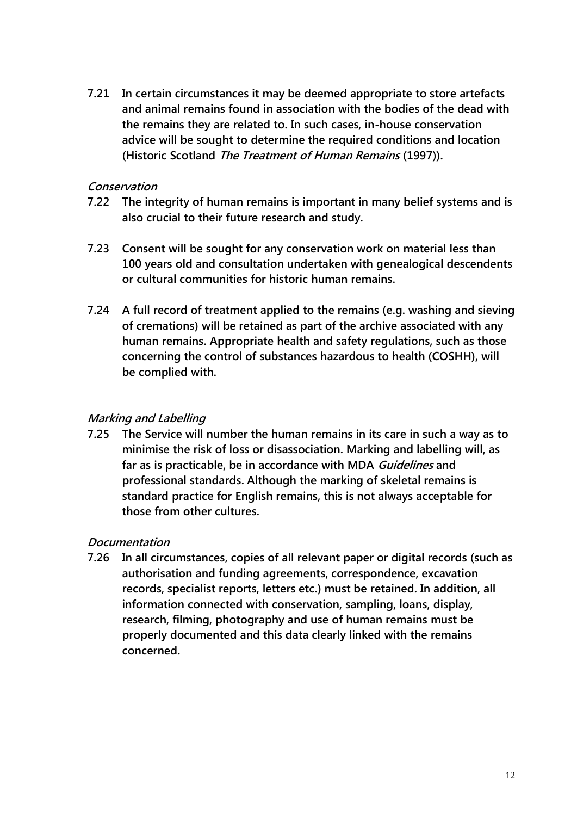**7.21 In certain circumstances it may be deemed appropriate to store artefacts and animal remains found in association with the bodies of the dead with the remains they are related to. In such cases, in-house conservation advice will be sought to determine the required conditions and location (Historic Scotland The Treatment of Human Remains (1997)).** 

#### **Conservation**

- **7.22 The integrity of human remains is important in many belief systems and is also crucial to their future research and study.**
- **7.23 Consent will be sought for any conservation work on material less than 100 years old and consultation undertaken with genealogical descendents or cultural communities for historic human remains.**
- **7.24 A full record of treatment applied to the remains (e.g. washing and sieving of cremations) will be retained as part of the archive associated with any human remains. Appropriate health and safety regulations, such as those concerning the control of substances hazardous to health (COSHH), will be complied with.**

## **Marking and Labelling**

**7.25 The Service will number the human remains in its care in such a way as to minimise the risk of loss or disassociation. Marking and labelling will, as far as is practicable, be in accordance with MDA Guidelines and professional standards. Although the marking of skeletal remains is standard practice for English remains, this is not always acceptable for those from other cultures.** 

## **Documentation**

**7.26 In all circumstances, copies of all relevant paper or digital records (such as authorisation and funding agreements, correspondence, excavation records, specialist reports, letters etc.) must be retained. In addition, all information connected with conservation, sampling, loans, display, research, filming, photography and use of human remains must be properly documented and this data clearly linked with the remains concerned.**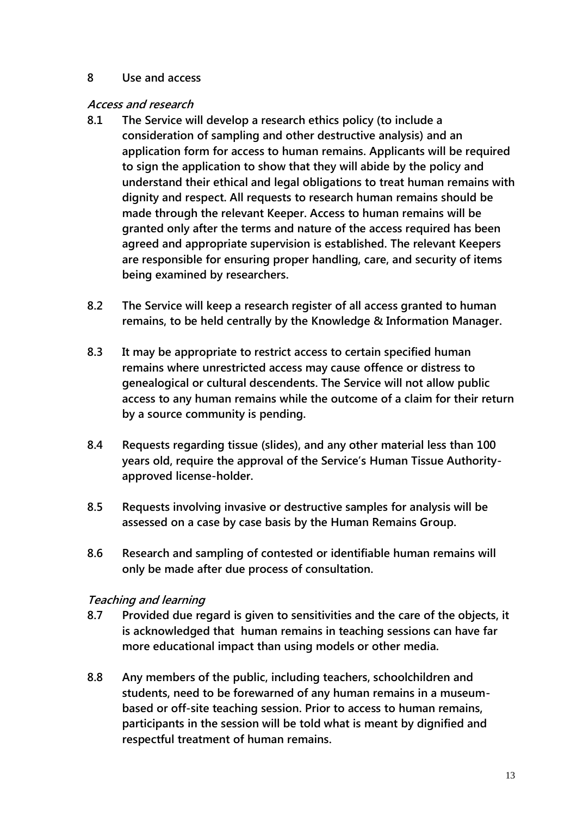#### **8 Use and access**

#### **Access and research**

- **8.1 The Service will develop a research ethics policy (to include a consideration of sampling and other destructive analysis) and an application form for access to human remains. Applicants will be required to sign the application to show that they will abide by the policy and understand their ethical and legal obligations to treat human remains with dignity and respect. All requests to research human remains should be made through the relevant Keeper. Access to human remains will be granted only after the terms and nature of the access required has been agreed and appropriate supervision is established. The relevant Keepers are responsible for ensuring proper handling, care, and security of items being examined by researchers.**
- **8.2 The Service will keep a research register of all access granted to human remains, to be held centrally by the Knowledge & Information Manager.**
- **8.3 It may be appropriate to restrict access to certain specified human remains where unrestricted access may cause offence or distress to genealogical or cultural descendents. The Service will not allow public access to any human remains while the outcome of a claim for their return by a source community is pending.**
- **8.4 Requests regarding tissue (slides), and any other material less than 100 years old, require the approval of the Service"s Human Tissue Authorityapproved license-holder.**
- **8.5 Requests involving invasive or destructive samples for analysis will be assessed on a case by case basis by the Human Remains Group.**
- **8.6 Research and sampling of contested or identifiable human remains will only be made after due process of consultation.**

#### **Teaching and learning**

- **8.7 Provided due regard is given to sensitivities and the care of the objects, it is acknowledged that human remains in teaching sessions can have far more educational impact than using models or other media.**
- **8.8 Any members of the public, including teachers, schoolchildren and students, need to be forewarned of any human remains in a museumbased or off-site teaching session. Prior to access to human remains, participants in the session will be told what is meant by dignified and respectful treatment of human remains.**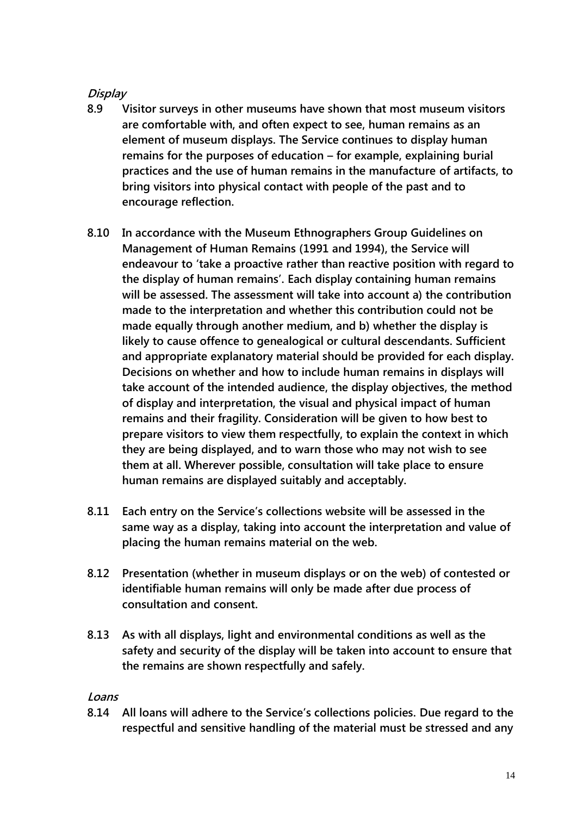# **Display**

- **8.9 Visitor surveys in other museums have shown that most museum visitors are comfortable with, and often expect to see, human remains as an element of museum displays. The Service continues to display human remains for the purposes of education – for example, explaining burial practices and the use of human remains in the manufacture of artifacts, to bring visitors into physical contact with people of the past and to encourage reflection.**
- **8.10 In accordance with the Museum Ethnographers Group Guidelines on Management of Human Remains (1991 and 1994), the Service will endeavour to "take a proactive rather than reactive position with regard to the display of human remains". Each display containing human remains will be assessed. The assessment will take into account a) the contribution made to the interpretation and whether this contribution could not be made equally through another medium, and b) whether the display is likely to cause offence to genealogical or cultural descendants. Sufficient and appropriate explanatory material should be provided for each display. Decisions on whether and how to include human remains in displays will take account of the intended audience, the display objectives, the method of display and interpretation, the visual and physical impact of human remains and their fragility. Consideration will be given to how best to prepare visitors to view them respectfully, to explain the context in which they are being displayed, and to warn those who may not wish to see them at all. Wherever possible, consultation will take place to ensure human remains are displayed suitably and acceptably.**
- **8.11 Each entry on the Service"s collections website will be assessed in the same way as a display, taking into account the interpretation and value of placing the human remains material on the web.**
- **8.12 Presentation (whether in museum displays or on the web) of contested or identifiable human remains will only be made after due process of consultation and consent.**
- **8.13 As with all displays, light and environmental conditions as well as the safety and security of the display will be taken into account to ensure that the remains are shown respectfully and safely.**

## **Loans**

**8.14 All loans will adhere to the Service"s collections policies. Due regard to the respectful and sensitive handling of the material must be stressed and any**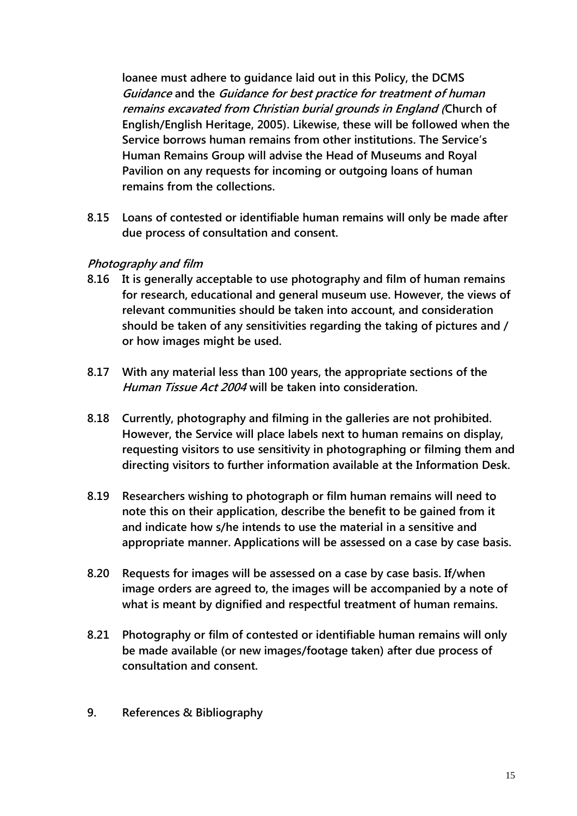**loanee must adhere to guidance laid out in this Policy, the DCMS Guidance and the Guidance for best practice for treatment of human remains excavated from Christian burial grounds in England (Church of English/English Heritage, 2005). Likewise, these will be followed when the Service borrows human remains from other institutions. The Service"s Human Remains Group will advise the Head of Museums and Royal Pavilion on any requests for incoming or outgoing loans of human remains from the collections.**

**8.15 Loans of contested or identifiable human remains will only be made after due process of consultation and consent.**

## **Photography and film**

- **8.16 It is generally acceptable to use photography and film of human remains for research, educational and general museum use. However, the views of relevant communities should be taken into account, and consideration should be taken of any sensitivities regarding the taking of pictures and / or how images might be used.**
- **8.17 With any material less than 100 years, the appropriate sections of the Human Tissue Act 2004 will be taken into consideration.**
- **8.18 Currently, photography and filming in the galleries are not prohibited. However, the Service will place labels next to human remains on display, requesting visitors to use sensitivity in photographing or filming them and directing visitors to further information available at the Information Desk.**
- **8.19 Researchers wishing to photograph or film human remains will need to note this on their application, describe the benefit to be gained from it and indicate how s/he intends to use the material in a sensitive and appropriate manner. Applications will be assessed on a case by case basis.**
- **8.20 Requests for images will be assessed on a case by case basis. If/when image orders are agreed to, the images will be accompanied by a note of what is meant by dignified and respectful treatment of human remains.**
- **8.21 Photography or film of contested or identifiable human remains will only be made available (or new images/footage taken) after due process of consultation and consent.**
- **9. References & Bibliography**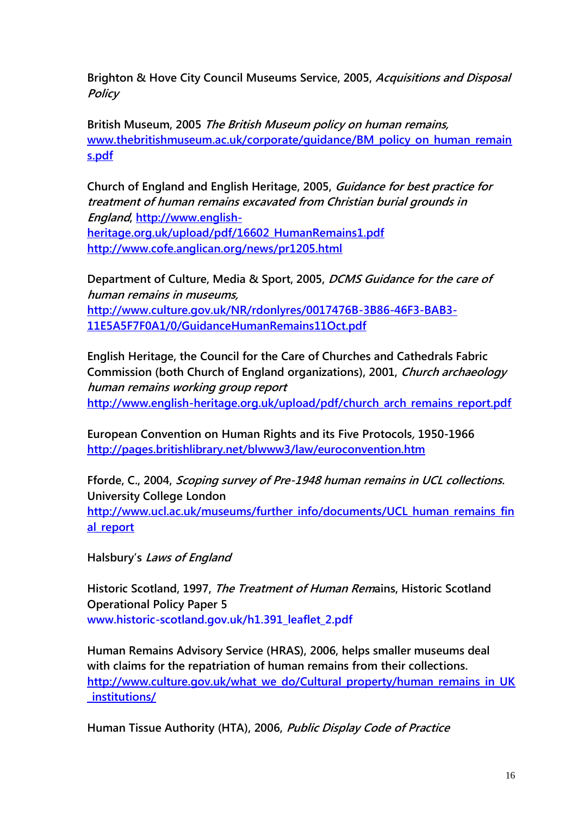**Brighton & Hove City Council Museums Service, 2005, Acquisitions and Disposal Policy**

**British Museum, 2005 The British Museum policy on human remains, [www.thebritishmuseum.ac.uk/corporate/guidance/BM\\_policy\\_on\\_human\\_remain](file:///C:/Documents%20and%20Settings/client/Local%20Settings/Local%20Settings/Local%20Settings/Temp/notes4D128A/www.thebritishmuseum.ac.uk/corporate/guidance/BM_policy_on_human_remains.pdf) [s.pdf](file:///C:/Documents%20and%20Settings/client/Local%20Settings/Local%20Settings/Local%20Settings/Temp/notes4D128A/www.thebritishmuseum.ac.uk/corporate/guidance/BM_policy_on_human_remains.pdf)**

**Church of England and English Heritage, 2005, Guidance for best practice for treatment of human remains excavated from Christian burial grounds in England, [http://www.english](http://www.english-heritage.org.uk/upload/pdf/16602_HumanRemains1.pdf)[heritage.org.uk/upload/pdf/16602\\_HumanRemains1.pdf](http://www.english-heritage.org.uk/upload/pdf/16602_HumanRemains1.pdf) <http://www.cofe.anglican.org/news/pr1205.html>**

**Department of Culture, Media & Sport, 2005, DCMS Guidance for the care of human remains in museums, [http://www.culture.gov.uk/NR/rdonlyres/0017476B-3B86-46F3-BAB3-](http://www.culture.gov.uk/NR/rdonlyres/0017476B-3B86-46F3-BAB3-11E5A5F7F0A1/0/GuidanceHumanRemains11Oct.pdf) [11E5A5F7F0A1/0/GuidanceHumanRemains11Oct.pdf](http://www.culture.gov.uk/NR/rdonlyres/0017476B-3B86-46F3-BAB3-11E5A5F7F0A1/0/GuidanceHumanRemains11Oct.pdf)**

**English Heritage, the Council for the Care of Churches and Cathedrals Fabric Commission (both Church of England organizations), 2001, Church archaeology human remains working group report [http://www.english-heritage.org.uk/upload/pdf/church\\_arch\\_remains\\_report.pdf](http://www.english-heritage.org.uk/upload/pdf/church_arch_remains_report.pdf)**

**European Convention on Human Rights and its Five Protocols, 1950-1966 <http://pages.britishlibrary.net/blwww3/law/euroconvention.htm>**

**Fforde, C., 2004, Scoping survey of Pre-1948 human remains in UCL collections. University College London [http://www.ucl.ac.uk/museums/further\\_info/documents/UCL\\_human\\_remains\\_fin](http://www.ucl.ac.uk/museums/further_info/documents/UCL_human_remains_final_report) [al\\_report](http://www.ucl.ac.uk/museums/further_info/documents/UCL_human_remains_final_report)**

**Halsbury"s Laws of England**

**Historic Scotland, 1997, The Treatment of Human Remains, Historic Scotland Operational Policy Paper 5 www.historic-scotland.gov.uk/h1.391\_leaflet\_2.pdf**

**Human Remains Advisory Service (HRAS), 2006, helps smaller museums deal with claims for the repatriation of human remains from their collections. [http://www.culture.gov.uk/what\\_we\\_do/Cultural\\_property/human\\_remains\\_in\\_UK](http://www.culture.gov.uk/what_we_do/Cultural_property/human_remains_in_UK_institutions/) [\\_institutions/](http://www.culture.gov.uk/what_we_do/Cultural_property/human_remains_in_UK_institutions/)**

**Human Tissue Authority (HTA), 2006, Public Display Code of Practice**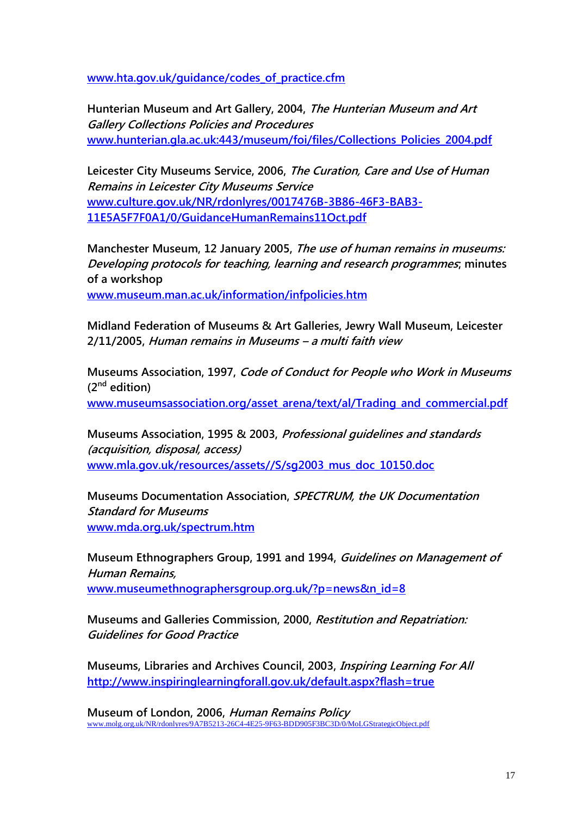**[www.hta.gov.uk/guidance/codes\\_of\\_practice.cfm](file:///C:/Documents%20and%20Settings/client/Local%20Settings/Local%20Settings/Local%20Settings/Temp/notes4D128A/www.hta.gov.uk/guidance/codes_of_practice.cfm)**

**Hunterian Museum and Art Gallery, 2004, The Hunterian Museum and Art Gallery Collections Policies and Procedures [www.hunterian.gla.ac.uk:443/museum/foi/files/Collections\\_Policies\\_2004.pdf](www.hunterian.gla.ac.uk:443/museum/foi/files/Collections_Policies_2004.pdf)**

**Leicester City Museums Service, 2006, The Curation, Care and Use of Human Remains in Leicester City Museums Service [www.culture.gov.uk/NR/rdonlyres/0017476B-3B86-46F3-BAB3-](file:///C:/Documents%20and%20Settings/client/Local%20Settings/Local%20Settings/Local%20Settings/Temp/notes4D128A/www.culture.gov.uk/NR/rdonlyres/0017476B-3B86-46F3-BAB3-11E5A5F7F0A1/0/GuidanceHumanRemains11Oct.pdf) [11E5A5F7F0A1/0/GuidanceHumanRemains11Oct.pdf](file:///C:/Documents%20and%20Settings/client/Local%20Settings/Local%20Settings/Local%20Settings/Temp/notes4D128A/www.culture.gov.uk/NR/rdonlyres/0017476B-3B86-46F3-BAB3-11E5A5F7F0A1/0/GuidanceHumanRemains11Oct.pdf)**

**Manchester Museum, 12 January 2005, The use of human remains in museums: Developing protocols for teaching, learning and research programmes; minutes of a workshop**

**[www.museum.man.ac.uk/information/infpolicies.htm](file:///C:/Documents%20and%20Settings/client/Local%20Settings/Local%20Settings/Local%20Settings/Temp/notes4D128A/www.museum.man.ac.uk/information/infpolicies.htm)**

**Midland Federation of Museums & Art Galleries, Jewry Wall Museum, Leicester 2/11/2005, Human remains in Museums – a multi faith view**

**Museums Association, 1997, Code of Conduct for People who Work in Museums (2nd edition)**  [www.museumsassociation.org/asset\\_arena/text/al/Trading\\_and\\_commercial.pdf](file:///C:/Documents%20and%20Settings/client/Local%20Settings/Local%20Settings/Local%20Settings/Temp/notes4D128A/www.museumsassociation.org/asset_arena/text/al/Trading_and_commercial.pdf)

**Museums Association, 1995 & 2003, Professional guidelines and standards (acquisition, disposal, access) [www.mla.gov.uk/resources/assets//S/sg2003\\_mus\\_doc\\_10150.doc](file:///C:/Documents%20and%20Settings/client/Local%20Settings/Local%20Settings/Local%20Settings/Temp/notes4D128A/www.mla.gov.uk/resources/assets/S/sg2003_mus_doc_10150.doc)**

**Museums Documentation Association, SPECTRUM, the UK Documentation Standard for Museums [www.mda.org.uk/spectrum.htm](file:///C:/Documents%20and%20Settings/client/Local%20Settings/Local%20Settings/Local%20Settings/Temp/notes4D128A/www.mda.org.uk/spectrum.htm)** 

**Museum Ethnographers Group, 1991 and 1994, Guidelines on Management of Human Remains, [www.museumethnographersgroup.org.uk/?p=news&n\\_id=8](file:///C:/Documents%20and%20Settings/client/Local%20Settings/Local%20Settings/Local%20Settings/Temp/notes4D128A/www.museumethnographersgroup.org.uk/%3fp=news&n_id=8)**

**Museums and Galleries Commission, 2000, Restitution and Repatriation: Guidelines for Good Practice**

**Museums, Libraries and Archives Council, 2003, Inspiring Learning For All <http://www.inspiringlearningforall.gov.uk/default.aspx?flash=true>**

**Museum of London, 2006, Human Remains Policy** [www.molg.org.uk/NR/rdonlyres/9A7B5213-26C4-4E25-9F63-BDD905F3BC3D/0/MoLGStrategicObject.pdf](file:///C:/Documents%20and%20Settings/client/Local%20Settings/Local%20Settings/Local%20Settings/Temp/notes4D128A/www.molg.org.uk/NR/rdonlyres/9A7B5213-26C4-4E25-9F63-BDD905F3BC3D/0/MoLGStrategicObject.pdf)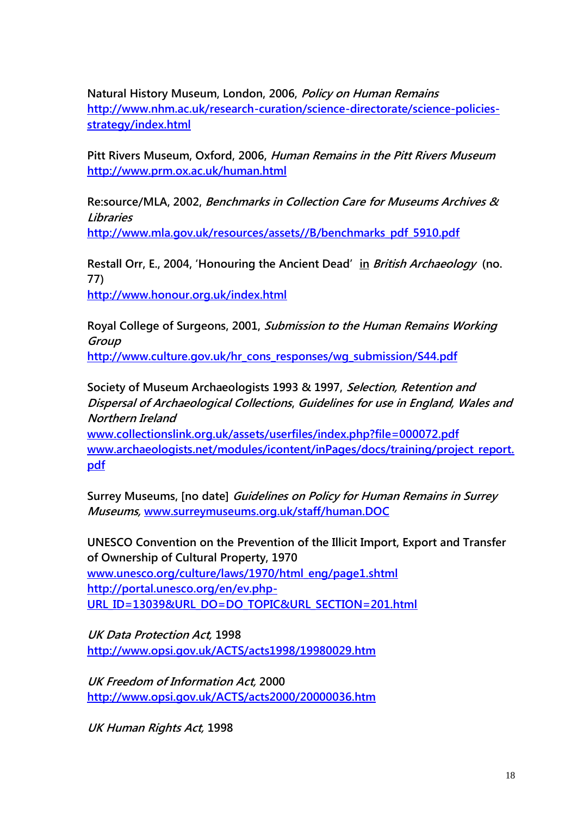**Natural History Museum, London, 2006, Policy on Human Remains [http://www.nhm.ac.uk/research-curation/science-directorate/science-policies](http://www.nhm.ac.uk/research-curation/science-directorate/science-policies-strategy/index.html)[strategy/index.html](http://www.nhm.ac.uk/research-curation/science-directorate/science-policies-strategy/index.html)**

**Pitt Rivers Museum, Oxford, 2006, Human Remains in the Pitt Rivers Museum <http://www.prm.ox.ac.uk/human.html>**

**Re:source/MLA, 2002, Benchmarks in Collection Care for Museums Archives & Libraries [http://www.mla.gov.uk/resources/assets//B/benchmarks\\_pdf\\_5910.pdf](http://www.mla.gov.uk/resources/assets/B/benchmarks_pdf_5910.pdf)**

**Restall Orr, E., 2004, "Honouring the Ancient Dead" in British Archaeology (no. 77)**

**<http://www.honour.org.uk/index.html>**

**Royal College of Surgeons, 2001, Submission to the Human Remains Working Group [http://www.culture.gov.uk/hr\\_cons\\_responses/wg\\_submission/S44.pdf](http://www.culture.gov.uk/hr_cons_responses/wg_submission/S44.pdf)**

**Society of Museum Archaeologists 1993 & 1997, Selection, Retention and Dispersal of Archaeological Collections, Guidelines for use in England, Wales and Northern Ireland**

**[www.collectionslink.org.uk/assets/userfiles/index.php?file=000072.pdf](file:///C:/Documents%20and%20Settings/client/Local%20Settings/Local%20Settings/Local%20Settings/Temp/notes4D128A/www.collectionslink.org.uk/assets/userfiles/index.php%3ffile=000072.pdf) [www.archaeologists.net/modules/icontent/inPages/docs/training/project\\_report.](file:///C:/Documents%20and%20Settings/client/Local%20Settings/Local%20Settings/Local%20Settings/Temp/notes4D128A/www.archaeologists.net/modules/icontent/inPages/docs/training/project_report.pdf) [pdf](file:///C:/Documents%20and%20Settings/client/Local%20Settings/Local%20Settings/Local%20Settings/Temp/notes4D128A/www.archaeologists.net/modules/icontent/inPages/docs/training/project_report.pdf)**

**Surrey Museums, [no date] Guidelines on Policy for Human Remains in Surrey Museums, [www.surreymuseums.org.uk/staff/human.DOC](file:///C:/Documents%20and%20Settings/client/Local%20Settings/Local%20Settings/Local%20Settings/Temp/notes4D128A/www.surreymuseums.org.uk/staff/human.DOC)**

**UNESCO Convention on the Prevention of the Illicit Import, Export and Transfer of Ownership of Cultural Property, 1970 [www.unesco.org/culture/laws/1970/html\\_eng/page1.shtml](file:///C:/Documents%20and%20Settings/client/Local%20Settings/Local%20Settings/Local%20Settings/Temp/notes4D128A/www.unesco.org/culture/laws/1970/html_eng/page1.shtml) [http://portal.unesco.org/en/ev.php-](http://portal.unesco.org/en/ev.php-URL_ID=13039&URL_DO=DO_TOPIC&URL_SECTION=201.html)[URL\\_ID=13039&URL\\_DO=DO\\_TOPIC&URL\\_SECTION=201.html](http://portal.unesco.org/en/ev.php-URL_ID=13039&URL_DO=DO_TOPIC&URL_SECTION=201.html)**

**UK Data Protection Act, 1998 <http://www.opsi.gov.uk/ACTS/acts1998/19980029.htm>**

**UK Freedom of Information Act, 2000 <http://www.opsi.gov.uk/ACTS/acts2000/20000036.htm>**

**UK Human Rights Act, 1998**